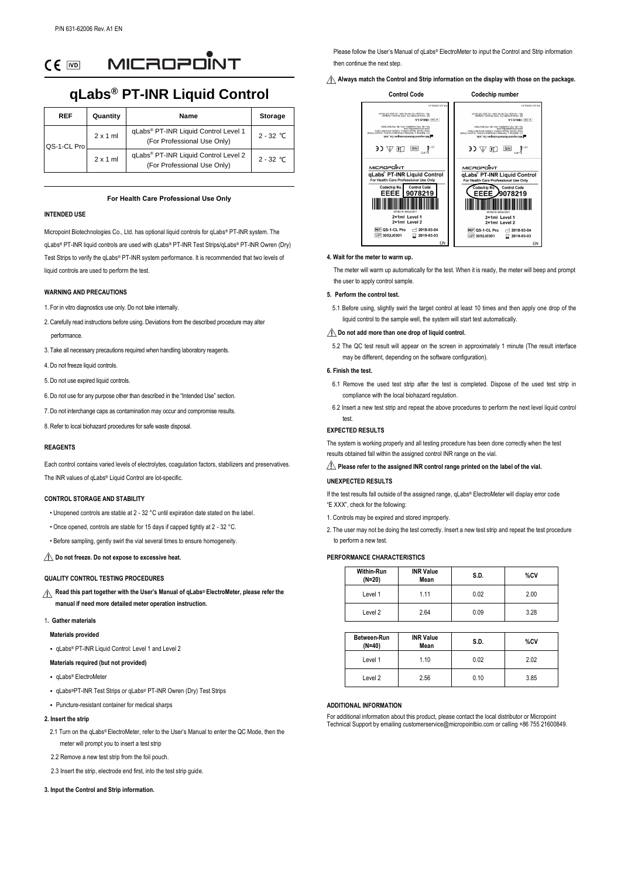MICROPONT  $CE$   $\overline{CD}$ 

# **qLabs® PT-INR Liquid Control**

| <b>REF</b>  | Quantity        | Name                                                                | <b>Storage</b> |
|-------------|-----------------|---------------------------------------------------------------------|----------------|
| QS-1-CL Pro | $2 \times 1$ ml | qLabs® PT-INR Liquid Control Level 1<br>(For Professional Use Only) | $2 - 32$ °C    |
|             | $2 \times 1$ ml | gLabs® PT-INR Liquid Control Level 2<br>(For Professional Use Only) | $2 - 32$ °C    |

## **For Health Care Professional Use Only**

## **INTENDED USE**

Micropoint Biotechnologies Co., Ltd. has optional liquid controls for qLabs® PT-INR system. The qLabs® PT-INR liquid controls are used with qLabs® PT-INR Test Strips/qLabs® PT-INR Owren (Dry) Test Strips to verify the qLabs® PT-INR system performance. It is recommended that two levels of liquid controls are used to perform the test.

## **WARNING AND PRECAUTIONS**

- 1. For in vitro diagnostics use only. Do not take internally.
- 2. Carefully read instructions before using. Deviations from the described procedure may alter performance.
- 3. Take all necessary precautions required when handling laboratory reagents.
- 4. Do not freeze liquid controls.
- 5. Do not use expired liquid controls.
- 6. Do not use for any purpose other than described in the "Intended Use" section.
- 7. Do not interchange caps as contamination may occur and compromise results.
- 8. Refer to local biohazard procedures for safe waste disposal.

## **REAGENTS**

Each control contains varied levels of electrolytes, coagulation factors, stabilizers and preservatives. The INR values of qLabs® Liquid Control are lot-specific.

## **CONTROL STORAGE AND STABILITY**

- Unopened controls are stable at 2 32 ° C until expiration date stated on the label.
- Once opened, controls are stable for 15 days if capped tightly at 2 32 ° C.
- Before sampling, gently swirl the vial several times to ensure homogeneity.

# **Do not freeze. Do not expose to excessive heat.**

#### **QUALITY CONTROL TESTING PROCEDURES**

**Read this part together with the User's Manual of qLabs® ElectroMeter, please refer the manual if need more detailed meter operation instruction.**

#### 1**. Gather materials**

#### **Materials provided**

• qLabs® PT-INR Liquid Control: Level 1 and Level 2

#### **Materials required (but not provided)**

- qLabs® ElectroMeter
- qLabs® PT-INR Test Strips or qLabs® PT-INR Owren (Dry) Test Strips
- Puncture-resistant container for medical sharps

## **2. Insert the strip**

- 2.1 Turn on the gLabs® ElectroMeter, refer to the User's Manual to enter the QC Mode, then the meter will prompt you to insert a test strip
- 2.2 Remove a new test strip from the foil pouch.
- 2.3 Insert the strip, electrode end first, into the test strip guide.

#### **3. Input the Control and Strip information.**

Please follow the User's Manual of qLabs® ElectroMeter to input the Control and Strip information then continue the next step.

**Always match the Control and Strip information on the display with those on the package.**



#### **4. Wait for the meter to warm up.**

 The meter will warm up automatically for the test. When it is ready, the meter will beep and prompt the user to apply control sample.

## **5. Perform the control test.**

5.1 Before using, slightly swirl the target control at least 10 times and then apply one drop of the liquid control to the sample well, the system will start test automatically.

#### $\triangle$  Do not add more than one drop of liquid control.

5.2 The QC test result will appear on the screen in approximately 1 minute (The result interface may be different, depending on the software configuration).

# **6. Finish the test.**

- 6.1 Remove the used test strip after the test is completed. Dispose of the used test strip in compliance with the local biohazard regulation.
- 6.2 Insert a new test strip and repeat the above procedures to perform the next level liquid control test.

## **EXPECTED RESULTS**

The system is working properly and all testing procedure has been done correctly when the test results obtained fall within the assigned control INR range on the vial.

# **A** Please refer to the assigned INR control range printed on the label of the vial.

# **UNEXPECTED RESULTS**

If the test results fall outside of the assigned range, qLabs® ElectroMeter will display error code "E XXX", check for the following:

- 1. Controls may be expired and stored improperly.
- 2. The user may not be doing the test correctly. Insert a new test strip and repeat the test procedure to perform a new test.

# **PERFORMANCE CHARACTERISTICS**

| Within-Run<br>$(N=20)$ | <b>INR Value</b><br>Mean | S.D. | %CV  |
|------------------------|--------------------------|------|------|
| Level 1                | 1.11                     | 0.02 | 2.00 |
| Level 2                | 2.64                     | 0.09 | 3.28 |

| Between-Run<br>$(N=40)$ | <b>INR Value</b><br>Mean | S.D. | %CV  |
|-------------------------|--------------------------|------|------|
| Level 1                 | 1.10                     | 0.02 | 2.02 |
| Level 2                 | 2.56                     | 0.10 | 3.85 |

## **ADDITIONAL INFORMATION**

For additional information about this product, please contact the local distributor or Micropoin Technical Support by emailing customerservice@micropointbio.com or calling +86 755 21600849.